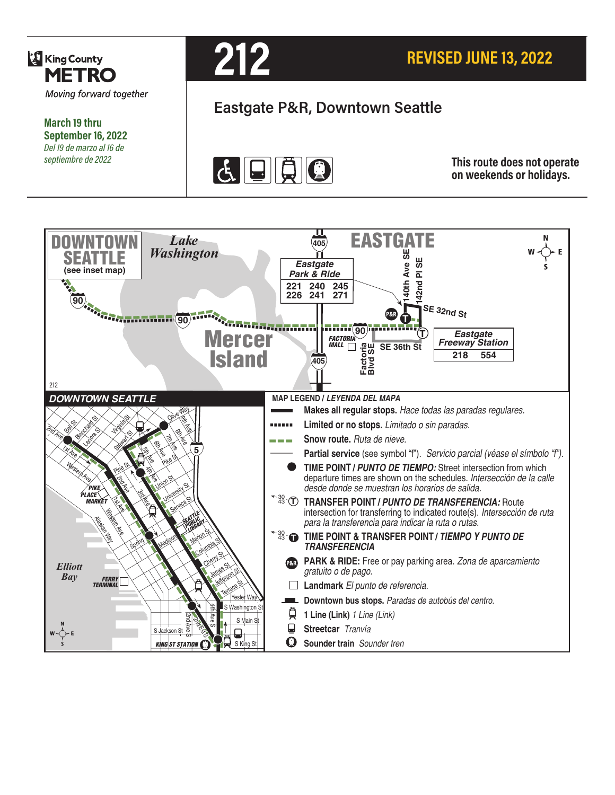

**March 19 thru September 16, 2022** *Del 19 de marzo al 16 de septiembre de 2022*



# **Eastgate P&R, Downtown Seattle**



**This route does not operate on weekends or holidays.**